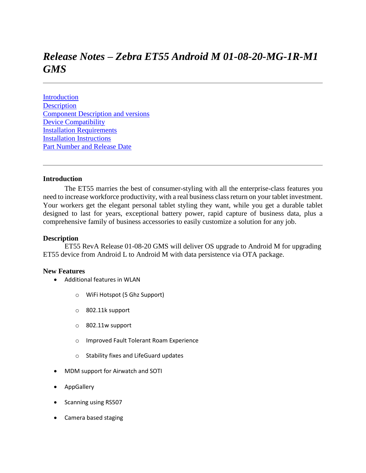# *Release Notes – Zebra ET55 Android M 01-08-20-MG-1R-M1 GMS*

**[Introduction](#page-0-0) [Description](#page-0-1)** [Component Description and versions](#page-2-0) [Device Compatibility](#page-5-0) [Installation Requirements](#page-5-1) [Installation Instructions](#page-5-2) [Part Number and Release Date](#page-5-3)

#### <span id="page-0-1"></span><span id="page-0-0"></span>**Introduction**

 The ET55 marries the best of consumer-styling with all the enterprise-class features you need to increase workforce productivity, with a real business class return on your tablet investment. Your workers get the elegant personal tablet styling they want, while you get a durable tablet designed to last for years, exceptional battery power, rapid capture of business data, plus a comprehensive family of business accessories to easily customize a solution for any job.

#### **Description**

ET55 RevA Release 01-08-20 GMS will deliver OS upgrade to Android M for upgrading ET55 device from Android L to Android M with data persistence via OTA package.

#### **New Features**

- Additional features in WLAN
	- o WiFi Hotspot (5 Ghz Support)
	- o 802.11k support
	- o 802.11w support
	- o Improved Fault Tolerant Roam Experience
	- o Stability fixes and LifeGuard updates
- MDM support for Airwatch and SOTI
- AppGallery
- Scanning using RS507
- Camera based staging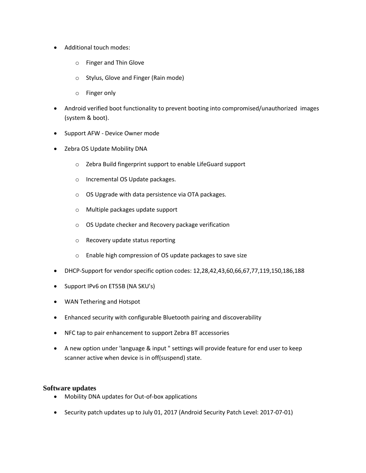- Additional touch modes:
	- o Finger and Thin Glove
	- o Stylus, Glove and Finger (Rain mode)
	- o Finger only
- Android verified boot functionality to prevent booting into compromised/unauthorized images (system & boot).
- Support AFW Device Owner mode
- Zebra OS Update Mobility DNA
	- o Zebra Build fingerprint support to enable LifeGuard support
	- o Incremental OS Update packages.
	- o OS Upgrade with data persistence via OTA packages.
	- o Multiple packages update support
	- o OS Update checker and Recovery package verification
	- o Recovery update status reporting
	- o Enable high compression of OS update packages to save size
- DHCP-Support for vendor specific option codes: 12,28,42,43,60,66,67,77,119,150,186,188
- Support IPv6 on ET55B (NA SKU's)
- WAN Tethering and Hotspot
- Enhanced security with configurable Bluetooth pairing and discoverability
- NFC tap to pair enhancement to support Zebra BT accessories
- A new option under 'language & input " settings will provide feature for end user to keep scanner active when device is in off(suspend) state.

#### **Software updates**

- Mobility DNA updates for Out-of-box applications
- Security patch updates up to July 01, 2017 (Android Security Patch Level: 2017-07-01)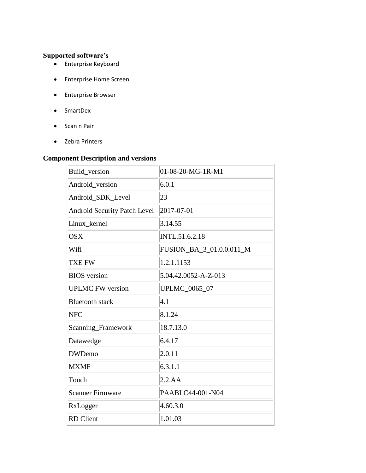## **Supported software's**

- Enterprise Keyboard
- Enterprise Home Screen
- Enterprise Browser
- SmartDex
- Scan n Pair
- Zebra Printers

## <span id="page-2-0"></span>**Component Description and versions**

| Build_version                       | 01-08-20-MG-1R-M1        |
|-------------------------------------|--------------------------|
| Android_version                     | 6.0.1                    |
| Android_SDK_Level                   | 23                       |
| <b>Android Security Patch Level</b> | 2017-07-01               |
| Linux kernel                        | 3.14.55                  |
| <b>OSX</b>                          | INTL.51.6.2.18           |
| Wifi                                | FUSION_BA_3_01.0.0.011_M |
| TXE FW                              | 1.2.1.1153               |
| <b>BIOS</b> version                 | 5.04.42.0052-A-Z-013     |
| <b>UPLMC FW version</b>             | UPLMC_0065_07            |
| <b>Bluetooth stack</b>              | 4.1                      |
| <b>NFC</b>                          | 8.1.24                   |
| Scanning_Framework                  | 18.7.13.0                |
| Datawedge                           | 6.4.17                   |
| <b>DWDemo</b>                       | 2.0.11                   |
| <b>MXMF</b>                         | 6.3.1.1                  |
| Touch                               | 2.2.AA                   |
| <b>Scanner Firmware</b>             | PAABLC44-001-N04         |
| RxLogger                            | 4.60.3.0                 |
| <b>RD</b> Client                    | 1.01.03                  |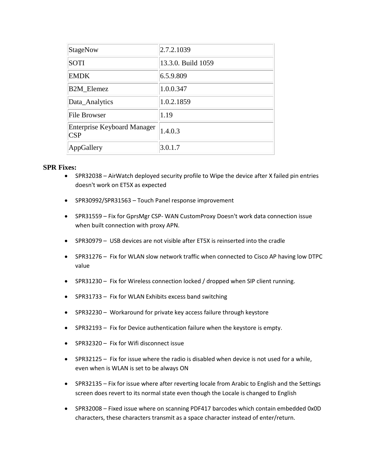| StageNow                                  | 2.7.2.1039         |
|-------------------------------------------|--------------------|
| <b>SOTI</b>                               | 13.3.0. Build 1059 |
| <b>EMDK</b>                               | 6.5.9.809          |
| <b>B2M_Elemez</b>                         | 1.0.0.347          |
| Data_Analytics                            | 1.0.2.1859         |
| File Browser                              | 1.19               |
| <b>Enterprise Keyboard Manager</b><br>CSP | 1.4.0.3            |
| AppGallery                                | 3.0.1.7            |

### **SPR Fixes:**

- SPR32038 AirWatch deployed security profile to Wipe the device after X failed pin entries doesn't work on ET5X as expected
- SPR30992/SPR31563 Touch Panel response improvement
- SPR31559 Fix for GprsMgr CSP- WAN CustomProxy Doesn't work data connection issue when built connection with proxy APN.
- SPR30979 USB devices are not visible after ET5X is reinserted into the cradle
- SPR31276 Fix for WLAN slow network traffic when connected to Cisco AP having low DTPC value
- SPR31230 Fix for Wireless connection locked / dropped when SIP client running.
- SPR31733 Fix for WLAN Exhibits excess band switching
- SPR32230 Workaround for private key access failure through keystore
- SPR32193 Fix for Device authentication failure when the keystore is empty.
- SPR32320 Fix for Wifi disconnect issue
- SPR32125 Fix for issue where the radio is disabled when device is not used for a while, even when is WLAN is set to be always ON
- SPR32135 Fix for issue where after reverting locale from Arabic to English and the Settings screen does revert to its normal state even though the Locale is changed to English
- SPR32008 Fixed issue where on scanning PDF417 barcodes which contain embedded 0x0D characters, these characters transmit as a space character instead of enter/return.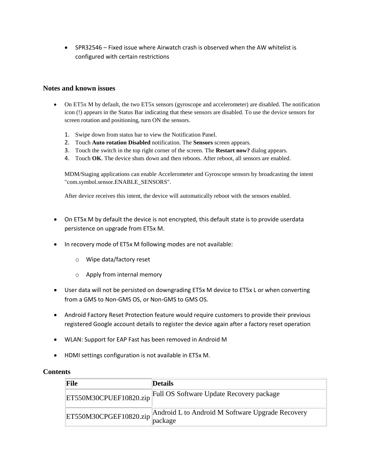SPR32546 – Fixed issue where Airwatch crash is observed when the AW whitelist is configured with certain restrictions

### **Notes and known issues**

- On ET5x M by default, the two ET5x sensors (gyroscope and accelerometer) are disabled. The notification icon (!) appears in the Status Bar indicating that these sensors are disabled. To use the device sensors for screen rotation and positioning, turn ON the sensors.
	- 1. Swipe down from status bar to view the Notification Panel.
	- 2. Touch **Auto rotation Disabled** notification. The **Sensors** screen appears.
	- 3. Touch the switch in the top right corner of the screen. The **Restart now?** dialog appears.
	- 4. Touch **OK**. The device shuts down and then reboots. After reboot, all sensors are enabled.

MDM/Staging applications can enable Accelerometer and Gyroscope sensors by broadcasting the intent "com.symbol.sensor.ENABLE\_SENSORS".

After device receives this intent, the device will automatically reboot with the sensors enabled.

- On ET5x M by default the device is not encrypted, this default state is to provide userdata persistence on upgrade from ET5x M.
- In recovery mode of ET5x M following modes are not available:
	- o Wipe data/factory reset
	- o Apply from internal memory
- User data will not be persisted on downgrading ET5x M device to ET5x L or when converting from a GMS to Non-GMS OS, or Non-GMS to GMS OS.
- Android Factory Reset Protection feature would require customers to provide their previous registered Google account details to register the device again after a factory reset operation
- WLAN: Support for EAP Fast has been removed in Android M
- HDMI settings configuration is not available in ET5x M.

## **Contents**

| File                   | <b>Details</b>                                                                     |
|------------------------|------------------------------------------------------------------------------------|
| ET550M30CPUEF10820.zip | Full OS Software Update Recovery package                                           |
|                        | ET550M30CPGEF10820.zip Android L to Android M Software Upgrade Recovery<br>package |